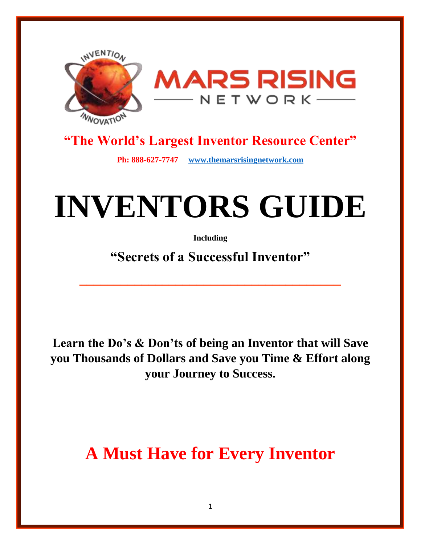

### **"The World's Largest Inventor Resource Center"**

**Ph: 888-627-7747 [www.themarsrisingnetwork.com](http://www.themarsrisingnetwork.com/)**

# **INVENTORS GUIDE**

**Including**

**"Secrets of a Successful Inventor"**

**\_\_\_\_\_\_\_\_\_\_\_\_\_\_\_\_\_\_\_\_\_\_\_\_\_\_\_\_\_\_\_\_\_\_\_\_\_\_**

**Learn the Do's & Don'ts of being an Inventor that will Save you Thousands of Dollars and Save you Time & Effort along your Journey to Success.**

**A Must Have for Every Inventor**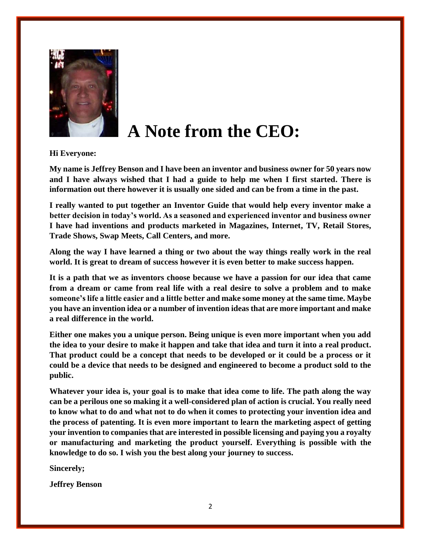

### **A Note from the CEO:**

**Hi Everyone:** 

**My name is Jeffrey Benson and I have been an inventor and business owner for 50 years now and I have always wished that I had a guide to help me when I first started. There is information out there however it is usually one sided and can be from a time in the past.**

**I really wanted to put together an Inventor Guide that would help every inventor make a better decision in today's world. As a seasoned and experienced inventor and business owner I have had inventions and products marketed in Magazines, Internet, TV, Retail Stores, Trade Shows, Swap Meets, Call Centers, and more.**

**Along the way I have learned a thing or two about the way things really work in the real world. It is great to dream of success however it is even better to make success happen.** 

**It is a path that we as inventors choose because we have a passion for our idea that came from a dream or came from real life with a real desire to solve a problem and to make someone's life a little easier and a little better and make some money at the same time. Maybe you have an invention idea or a number of invention ideas that are more important and make a real difference in the world.**

**Either one makes you a unique person. Being unique is even more important when you add the idea to your desire to make it happen and take that idea and turn it into a real product. That product could be a concept that needs to be developed or it could be a process or it could be a device that needs to be designed and engineered to become a product sold to the public.**

**Whatever your idea is, your goal is to make that idea come to life. The path along the way can be a perilous one so making it a well-considered plan of action is crucial. You really need to know what to do and what not to do when it comes to protecting your invention idea and the process of patenting. It is even more important to learn the marketing aspect of getting your invention to companies that are interested in possible licensing and paying you a royalty or manufacturing and marketing the product yourself. Everything is possible with the knowledge to do so. I wish you the best along your journey to success.**

**Sincerely;**

**Jeffrey Benson**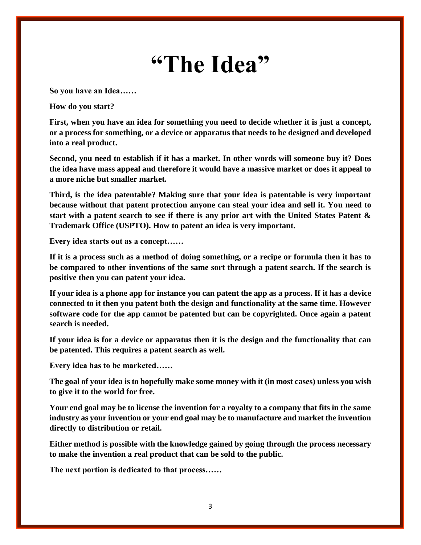## **"The Idea"**

**So you have an Idea……**

**How do you start?**

**First, when you have an idea for something you need to decide whether it is just a concept, or a process for something, or a device or apparatus that needs to be designed and developed into a real product.**

**Second, you need to establish if it has a market. In other words will someone buy it? Does the idea have mass appeal and therefore it would have a massive market or does it appeal to a more niche but smaller market.**

**Third, is the idea patentable? Making sure that your idea is patentable is very important because without that patent protection anyone can steal your idea and sell it. You need to start with a patent search to see if there is any prior art with the United States Patent & Trademark Office (USPTO). How to patent an idea is very important.**

**Every idea starts out as a concept……**

**If it is a process such as a method of doing something, or a recipe or formula then it has to be compared to other inventions of the same sort through a patent search. If the search is positive then you can patent your idea.**

**If your idea is a phone app for instance you can patent the app as a process. If it has a device connected to it then you patent both the design and functionality at the same time. However software code for the app cannot be patented but can be copyrighted. Once again a patent search is needed.**

**If your idea is for a device or apparatus then it is the design and the functionality that can be patented. This requires a patent search as well.**

**Every idea has to be marketed……**

**The goal of your idea is to hopefully make some money with it (in most cases) unless you wish to give it to the world for free.**

**Your end goal may be to license the invention for a royalty to a company that fits in the same industry as your invention or your end goal may be to manufacture and market the invention directly to distribution or retail.**

**Either method is possible with the knowledge gained by going through the process necessary to make the invention a real product that can be sold to the public.**

**The next portion is dedicated to that process……**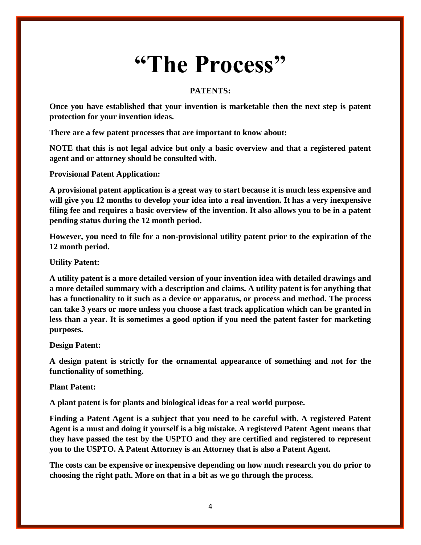## **"The Process"**

#### **PATENTS:**

**Once you have established that your invention is marketable then the next step is patent protection for your invention ideas.**

**There are a few patent processes that are important to know about:** 

**NOTE that this is not legal advice but only a basic overview and that a registered patent agent and or attorney should be consulted with.**

**Provisional Patent Application:**

**A provisional patent application is a great way to start because it is much less expensive and will give you 12 months to develop your idea into a real invention. It has a very inexpensive filing fee and requires a basic overview of the invention. It also allows you to be in a patent pending status during the 12 month period.**

**However, you need to file for a non-provisional utility patent prior to the expiration of the 12 month period.**

**Utility Patent:**

**A utility patent is a more detailed version of your invention idea with detailed drawings and a more detailed summary with a description and claims. A utility patent is for anything that has a functionality to it such as a device or apparatus, or process and method. The process can take 3 years or more unless you choose a fast track application which can be granted in less than a year. It is sometimes a good option if you need the patent faster for marketing purposes.**

**Design Patent:**

**A design patent is strictly for the ornamental appearance of something and not for the functionality of something.**

**Plant Patent:**

**A plant patent is for plants and biological ideas for a real world purpose.**

**Finding a Patent Agent is a subject that you need to be careful with. A registered Patent Agent is a must and doing it yourself is a big mistake. A registered Patent Agent means that they have passed the test by the USPTO and they are certified and registered to represent you to the USPTO. A Patent Attorney is an Attorney that is also a Patent Agent.**

**The costs can be expensive or inexpensive depending on how much research you do prior to choosing the right path. More on that in a bit as we go through the process.**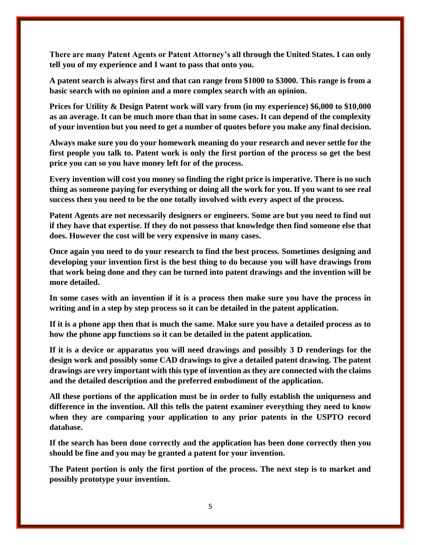**There are many Patent Agents or Patent Attorney's all through the United States. I can only tell you of my experience and I want to pass that onto you.**

**A patent search is always first and that can range from \$1000 to \$3000. This range is from a basic search with no opinion and a more complex search with an opinion.**

**Prices for Utility & Design Patent work will vary from (in my experience) \$6,000 to \$10,000 as an average. It can be much more than that in some cases. It can depend of the complexity of your invention but you need to get a number of quotes before you make any final decision.**

**Always make sure you do your homework meaning do your research and never settle for the first people you talk to. Patent work is only the first portion of the process so get the best price you can so you have money left for of the process.** 

**Every invention will cost you money so finding the right price is imperative. There is no such thing as someone paying for everything or doing all the work for you. If you want to see real success then you need to be the one totally involved with every aspect of the process.**

**Patent Agents are not necessarily designers or engineers. Some are but you need to find out if they have that expertise. If they do not possess that knowledge then find someone else that does. However the cost will be very expensive in many cases.**

**Once again you need to do your research to find the best process. Sometimes designing and developing your invention first is the best thing to do because you will have drawings from that work being done and they can be turned into patent drawings and the invention will be more detailed.**

**In some cases with an invention if it is a process then make sure you have the process in writing and in a step by step process so it can be detailed in the patent application.**

**If it is a phone app then that is much the same. Make sure you have a detailed process as to how the phone app functions so it can be detailed in the patent application.**

**If it is a device or apparatus you will need drawings and possibly 3 D renderings for the design work and possibly some CAD drawings to give a detailed patent drawing. The patent drawings are very important with this type of invention as they are connected with the claims and the detailed description and the preferred embodiment of the application.**

**All these portions of the application must be in order to fully establish the uniqueness and difference in the invention. All this tells the patent examiner everything they need to know when they are comparing your application to any prior patents in the USPTO record database.**

**If the search has been done correctly and the application has been done correctly then you should be fine and you may be granted a patent for your invention.**

**The Patent portion is only the first portion of the process. The next step is to market and possibly prototype your invention.**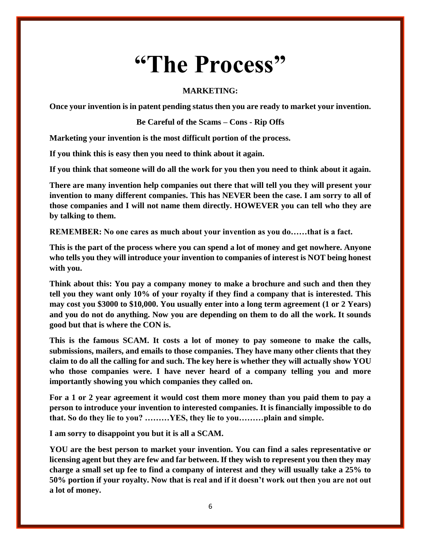## **"The Process"**

#### **MARKETING:**

**Once your invention is in patent pending status then you are ready to market your invention.**

**Be Careful of the Scams – Cons - Rip Offs**

**Marketing your invention is the most difficult portion of the process.** 

**If you think this is easy then you need to think about it again.** 

**If you think that someone will do all the work for you then you need to think about it again.**

**There are many invention help companies out there that will tell you they will present your invention to many different companies. This has NEVER been the case. I am sorry to all of those companies and I will not name them directly. HOWEVER you can tell who they are by talking to them.**

**REMEMBER: No one cares as much about your invention as you do……that is a fact.**

**This is the part of the process where you can spend a lot of money and get nowhere. Anyone who tells you they will introduce your invention to companies of interest is NOT being honest with you.** 

**Think about this: You pay a company money to make a brochure and such and then they tell you they want only 10% of your royalty if they find a company that is interested. This may cost you \$3000 to \$10,000. You usually enter into a long term agreement (1 or 2 Years) and you do not do anything. Now you are depending on them to do all the work. It sounds good but that is where the CON is.**

**This is the famous SCAM. It costs a lot of money to pay someone to make the calls, submissions, mailers, and emails to those companies. They have many other clients that they claim to do all the calling for and such. The key here is whether they will actually show YOU who those companies were. I have never heard of a company telling you and more importantly showing you which companies they called on.**

**For a 1 or 2 year agreement it would cost them more money than you paid them to pay a person to introduce your invention to interested companies. It is financially impossible to do that. So do they lie to you? ………YES, they lie to you………plain and simple.**

**I am sorry to disappoint you but it is all a SCAM.**

**YOU are the best person to market your invention. You can find a sales representative or licensing agent but they are few and far between. If they wish to represent you then they may charge a small set up fee to find a company of interest and they will usually take a 25% to 50% portion if your royalty. Now that is real and if it doesn't work out then you are not out a lot of money.**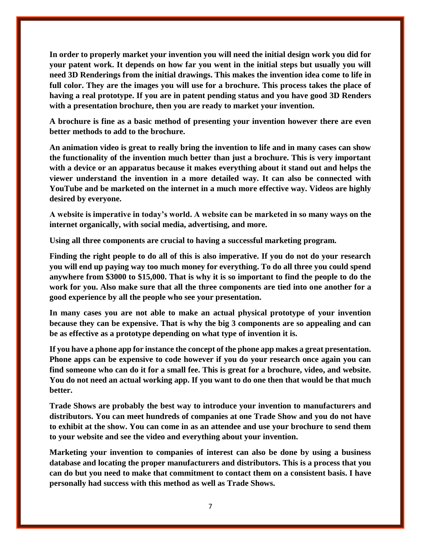**In order to properly market your invention you will need the initial design work you did for your patent work. It depends on how far you went in the initial steps but usually you will need 3D Renderings from the initial drawings. This makes the invention idea come to life in full color. They are the images you will use for a brochure. This process takes the place of having a real prototype. If you are in patent pending status and you have good 3D Renders with a presentation brochure, then you are ready to market your invention.**

**A brochure is fine as a basic method of presenting your invention however there are even better methods to add to the brochure.** 

**An animation video is great to really bring the invention to life and in many cases can show the functionality of the invention much better than just a brochure. This is very important with a device or an apparatus because it makes everything about it stand out and helps the viewer understand the invention in a more detailed way. It can also be connected with YouTube and be marketed on the internet in a much more effective way. Videos are highly desired by everyone.**

**A website is imperative in today's world. A website can be marketed in so many ways on the internet organically, with social media, advertising, and more.**

**Using all three components are crucial to having a successful marketing program.**

**Finding the right people to do all of this is also imperative. If you do not do your research you will end up paying way too much money for everything. To do all three you could spend anywhere from \$3000 to \$15,000. That is why it is so important to find the people to do the work for you. Also make sure that all the three components are tied into one another for a good experience by all the people who see your presentation.**

**In many cases you are not able to make an actual physical prototype of your invention because they can be expensive. That is why the big 3 components are so appealing and can be as effective as a prototype depending on what type of invention it is.**

**If you have a phone app for instance the concept of the phone app makes a great presentation. Phone apps can be expensive to code however if you do your research once again you can find someone who can do it for a small fee. This is great for a brochure, video, and website. You do not need an actual working app. If you want to do one then that would be that much better.**

**Trade Shows are probably the best way to introduce your invention to manufacturers and distributors. You can meet hundreds of companies at one Trade Show and you do not have to exhibit at the show. You can come in as an attendee and use your brochure to send them to your website and see the video and everything about your invention.**

**Marketing your invention to companies of interest can also be done by using a business database and locating the proper manufacturers and distributors. This is a process that you can do but you need to make that commitment to contact them on a consistent basis. I have personally had success with this method as well as Trade Shows.**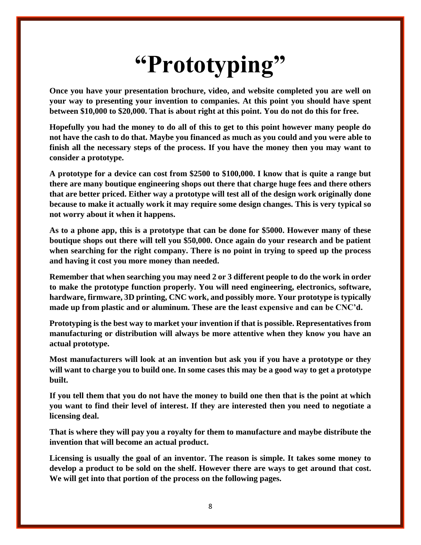# **"Prototyping"**

**Once you have your presentation brochure, video, and website completed you are well on your way to presenting your invention to companies. At this point you should have spent between \$10,000 to \$20,000. That is about right at this point. You do not do this for free.**

**Hopefully you had the money to do all of this to get to this point however many people do not have the cash to do that. Maybe you financed as much as you could and you were able to finish all the necessary steps of the process. If you have the money then you may want to consider a prototype.**

**A prototype for a device can cost from \$2500 to \$100,000. I know that is quite a range but there are many boutique engineering shops out there that charge huge fees and there others that are better priced. Either way a prototype will test all of the design work originally done because to make it actually work it may require some design changes. This is very typical so not worry about it when it happens.**

**As to a phone app, this is a prototype that can be done for \$5000. However many of these boutique shops out there will tell you \$50,000. Once again do your research and be patient when searching for the right company. There is no point in trying to speed up the process and having it cost you more money than needed.** 

**Remember that when searching you may need 2 or 3 different people to do the work in order to make the prototype function properly. You will need engineering, electronics, software, hardware, firmware, 3D printing, CNC work, and possibly more. Your prototype is typically made up from plastic and or aluminum. These are the least expensive and can be CNC'd.** 

**Prototyping is the best way to market your invention if that is possible. Representatives from manufacturing or distribution will always be more attentive when they know you have an actual prototype.** 

**Most manufacturers will look at an invention but ask you if you have a prototype or they will want to charge you to build one. In some cases this may be a good way to get a prototype built.** 

**If you tell them that you do not have the money to build one then that is the point at which you want to find their level of interest. If they are interested then you need to negotiate a licensing deal.**

**That is where they will pay you a royalty for them to manufacture and maybe distribute the invention that will become an actual product.**

**Licensing is usually the goal of an inventor. The reason is simple. It takes some money to develop a product to be sold on the shelf. However there are ways to get around that cost. We will get into that portion of the process on the following pages.**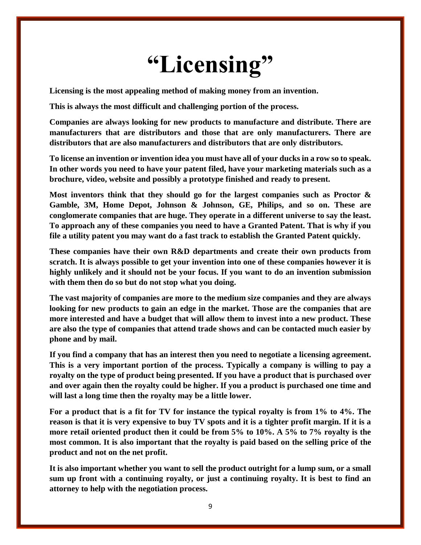## **"Licensing"**

**Licensing is the most appealing method of making money from an invention.**

**This is always the most difficult and challenging portion of the process.** 

**Companies are always looking for new products to manufacture and distribute. There are manufacturers that are distributors and those that are only manufacturers. There are distributors that are also manufacturers and distributors that are only distributors.**

**To license an invention or invention idea you must have all of your ducks in a row so to speak. In other words you need to have your patent filed, have your marketing materials such as a brochure, video, website and possibly a prototype finished and ready to present.**

**Most inventors think that they should go for the largest companies such as Proctor & Gamble, 3M, Home Depot, Johnson & Johnson, GE, Philips, and so on. These are conglomerate companies that are huge. They operate in a different universe to say the least. To approach any of these companies you need to have a Granted Patent. That is why if you file a utility patent you may want do a fast track to establish the Granted Patent quickly.**

**These companies have their own R&D departments and create their own products from scratch. It is always possible to get your invention into one of these companies however it is highly unlikely and it should not be your focus. If you want to do an invention submission with them then do so but do not stop what you doing.**

**The vast majority of companies are more to the medium size companies and they are always looking for new products to gain an edge in the market. Those are the companies that are more interested and have a budget that will allow them to invest into a new product. These are also the type of companies that attend trade shows and can be contacted much easier by phone and by mail.**

**If you find a company that has an interest then you need to negotiate a licensing agreement. This is a very important portion of the process. Typically a company is willing to pay a royalty on the type of product being presented. If you have a product that is purchased over and over again then the royalty could be higher. If you a product is purchased one time and will last a long time then the royalty may be a little lower.**

**For a product that is a fit for TV for instance the typical royalty is from 1% to 4%. The reason is that it is very expensive to buy TV spots and it is a tighter profit margin. If it is a more retail oriented product then it could be from 5% to 10%. A 5% to 7% royalty is the most common. It is also important that the royalty is paid based on the selling price of the product and not on the net profit.** 

**It is also important whether you want to sell the product outright for a lump sum, or a small sum up front with a continuing royalty, or just a continuing royalty. It is best to find an attorney to help with the negotiation process.**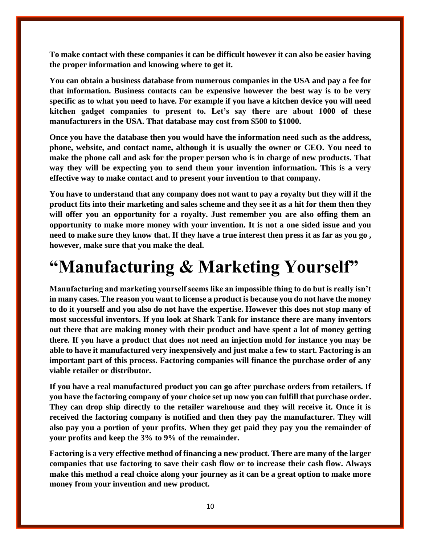**To make contact with these companies it can be difficult however it can also be easier having the proper information and knowing where to get it.**

**You can obtain a business database from numerous companies in the USA and pay a fee for that information. Business contacts can be expensive however the best way is to be very specific as to what you need to have. For example if you have a kitchen device you will need kitchen gadget companies to present to. Let's say there are about 1000 of these manufacturers in the USA. That database may cost from \$500 to \$1000.**

**Once you have the database then you would have the information need such as the address, phone, website, and contact name, although it is usually the owner or CEO. You need to make the phone call and ask for the proper person who is in charge of new products. That way they will be expecting you to send them your invention information. This is a very effective way to make contact and to present your invention to that company.**

**You have to understand that any company does not want to pay a royalty but they will if the product fits into their marketing and sales scheme and they see it as a hit for them then they will offer you an opportunity for a royalty. Just remember you are also offing them an opportunity to make more money with your invention. It is not a one sided issue and you need to make sure they know that. If they have a true interest then press it as far as you go , however, make sure that you make the deal.**

### **"Manufacturing & Marketing Yourself"**

**Manufacturing and marketing yourself seems like an impossible thing to do but is really isn't in many cases. The reason you want to license a product is because you do not have the money to do it yourself and you also do not have the expertise. However this does not stop many of most successful inventors. If you look at Shark Tank for instance there are many inventors out there that are making money with their product and have spent a lot of money getting there. If you have a product that does not need an injection mold for instance you may be able to have it manufactured very inexpensively and just make a few to start. Factoring is an important part of this process. Factoring companies will finance the purchase order of any viable retailer or distributor.**

**If you have a real manufactured product you can go after purchase orders from retailers. If you have the factoring company of your choice set up now you can fulfill that purchase order. They can drop ship directly to the retailer warehouse and they will receive it. Once it is received the factoring company is notified and then they pay the manufacturer. They will also pay you a portion of your profits. When they get paid they pay you the remainder of your profits and keep the 3% to 9% of the remainder.** 

**Factoring is a very effective method of financing a new product. There are many of the larger companies that use factoring to save their cash flow or to increase their cash flow. Always make this method a real choice along your journey as it can be a great option to make more money from your invention and new product.**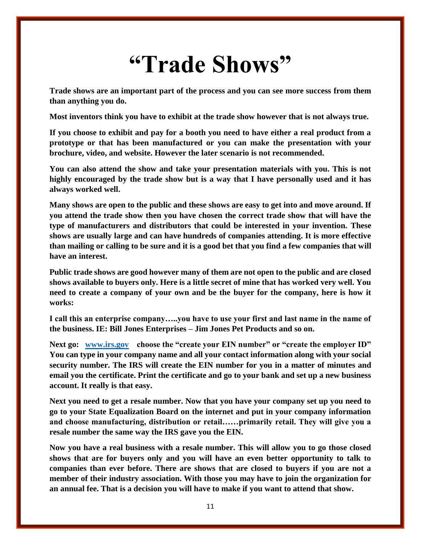## **"Trade Shows"**

**Trade shows are an important part of the process and you can see more success from them than anything you do.**

**Most inventors think you have to exhibit at the trade show however that is not always true.**

**If you choose to exhibit and pay for a booth you need to have either a real product from a prototype or that has been manufactured or you can make the presentation with your brochure, video, and website. However the later scenario is not recommended.**

**You can also attend the show and take your presentation materials with you. This is not highly encouraged by the trade show but is a way that I have personally used and it has always worked well.**

**Many shows are open to the public and these shows are easy to get into and move around. If you attend the trade show then you have chosen the correct trade show that will have the type of manufacturers and distributors that could be interested in your invention. These shows are usually large and can have hundreds of companies attending. It is more effective than mailing or calling to be sure and it is a good bet that you find a few companies that will have an interest.**

**Public trade shows are good however many of them are not open to the public and are closed shows available to buyers only. Here is a little secret of mine that has worked very well. You need to create a company of your own and be the buyer for the company, here is how it works:**

**I call this an enterprise company…..you have to use your first and last name in the name of the business. IE: Bill Jones Enterprises – Jim Jones Pet Products and so on.**

**Next go: [www.irs.gov](http://www.irs.gov/) choose the "create your EIN number" or "create the employer ID" You can type in your company name and all your contact information along with your social security number. The IRS will create the EIN number for you in a matter of minutes and email you the certificate. Print the certificate and go to your bank and set up a new business account. It really is that easy.**

**Next you need to get a resale number. Now that you have your company set up you need to go to your State Equalization Board on the internet and put in your company information and choose manufacturing, distribution or retail……primarily retail. They will give you a resale number the same way the IRS gave you the EIN.**

**Now you have a real business with a resale number. This will allow you to go those closed shows that are for buyers only and you will have an even better opportunity to talk to companies than ever before. There are shows that are closed to buyers if you are not a member of their industry association. With those you may have to join the organization for an annual fee. That is a decision you will have to make if you want to attend that show.**